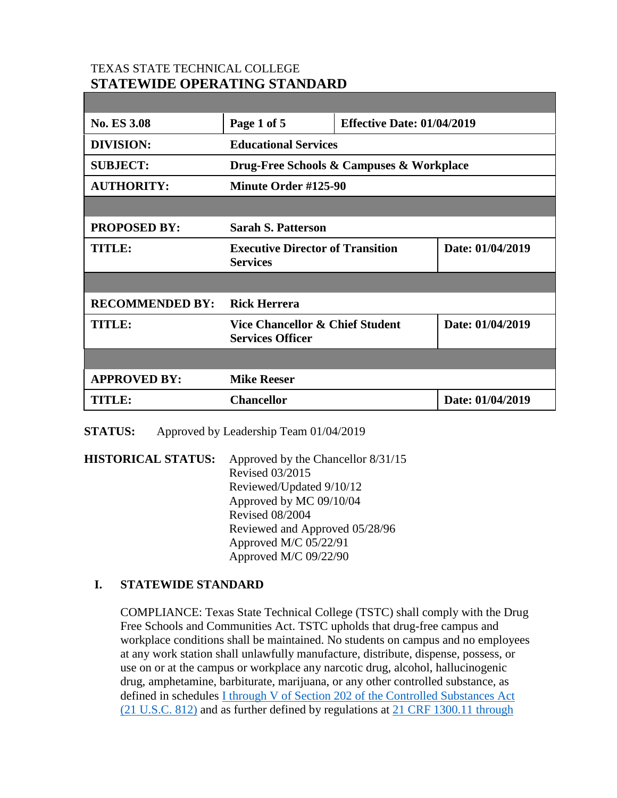# TEXAS STATE TECHNICAL COLLEGE **STATEWIDE OPERATING STANDARD**

| <b>No. ES 3.08</b>     | Page 1 of 5                                                           | <b>Effective Date: 01/04/2019</b> |                  |
|------------------------|-----------------------------------------------------------------------|-----------------------------------|------------------|
| <b>DIVISION:</b>       | <b>Educational Services</b>                                           |                                   |                  |
| <b>SUBJECT:</b>        | Drug-Free Schools & Campuses & Workplace                              |                                   |                  |
| <b>AUTHORITY:</b>      | Minute Order #125-90                                                  |                                   |                  |
|                        |                                                                       |                                   |                  |
| <b>PROPOSED BY:</b>    | <b>Sarah S. Patterson</b>                                             |                                   |                  |
| <b>TITLE:</b>          | <b>Executive Director of Transition</b><br><b>Services</b>            |                                   | Date: 01/04/2019 |
|                        |                                                                       |                                   |                  |
| <b>RECOMMENDED BY:</b> | <b>Rick Herrera</b>                                                   |                                   |                  |
| <b>TITLE:</b>          | <b>Vice Chancellor &amp; Chief Student</b><br><b>Services Officer</b> |                                   | Date: 01/04/2019 |
|                        |                                                                       |                                   |                  |
| <b>APPROVED BY:</b>    | <b>Mike Reeser</b>                                                    |                                   |                  |
| <b>TITLE:</b>          | <b>Chancellor</b>                                                     |                                   | Date: 01/04/2019 |

**STATUS:** Approved by Leadership Team 01/04/2019

**HISTORICAL STATUS:** Approved by the Chancellor 8/31/15 Revised 03/2015 Reviewed/Updated 9/10/12 Approved by MC 09/10/04 Revised 08/2004 Reviewed and Approved 05/28/96 Approved M/C 05/22/91 Approved M/C 09/22/90

# **I. STATEWIDE STANDARD**

COMPLIANCE: Texas State Technical College (TSTC) shall comply with the Drug Free Schools and Communities Act. TSTC upholds that drug-free campus and workplace conditions shall be maintained. No students on campus and no employees at any work station shall unlawfully manufacture, distribute, dispense, possess, or use on or at the campus or workplace any narcotic drug, alcohol, hallucinogenic drug, amphetamine, barbiturate, marijuana, or any other controlled substance, as defined in schedules [I through V of Section 202 of the Controlled Substances Act](https://www.deadiversion.usdoj.gov/21cfr/21usc/812.htm)  [\(21 U.S.C. 812\)](https://www.deadiversion.usdoj.gov/21cfr/21usc/812.htm) and as further defined by regulations at [21 CRF 1300.11 through](https://www.gpo.gov/fdsys/pkg/CFR-2014-title21-vol9/pdf/CFR-2014-title21-vol9-part1300.pdf)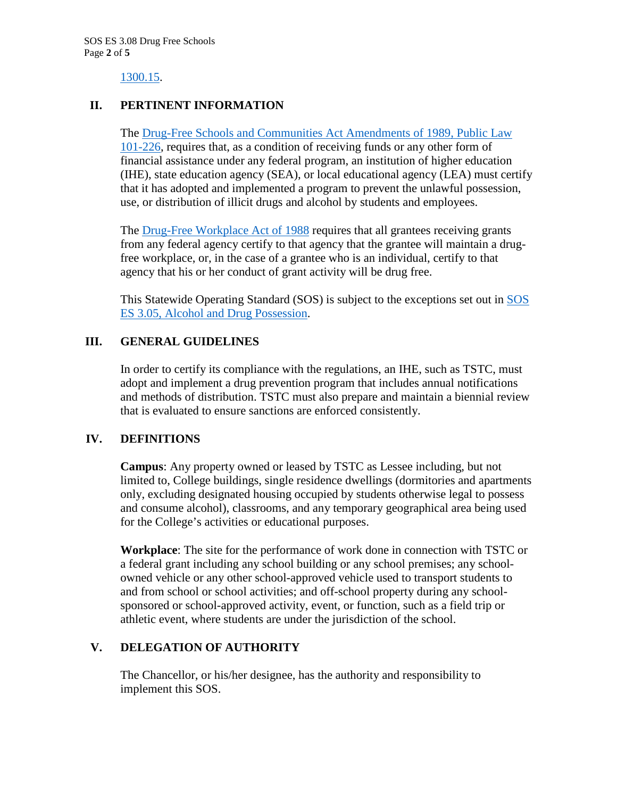1300.15.

## **II. PERTINENT INFORMATION**

The [Drug-Free Schools and Communities Act Amendments of 1989, Public Law](https://www.congress.gov/bill/101st-congress/house-bill/3614)  [101-226,](https://www.congress.gov/bill/101st-congress/house-bill/3614) requires that, as a condition of receiving funds or any other form of financial assistance under any federal program, an institution of higher education (IHE), state education agency (SEA), or local educational agency (LEA) must certify that it has adopted and implemented a program to prevent the unlawful possession, use, or distribution of illicit drugs and alcohol by students and employees.

The [Drug-Free Workplace Act of 1988](https://www.congress.gov/bill/100th-congress/house-bill/4719) requires that all grantees receiving grants from any federal agency certify to that agency that the grantee will maintain a drugfree workplace, or, in the case of a grantee who is an individual, certify to that agency that his or her conduct of grant activity will be drug free.

This Statewide Operating Standard (SOS) is subject to the exceptions set out in [SOS](http://www.tstc.edu/governance/es)  [ES 3.05, Alcohol and Drug Possession.](http://www.tstc.edu/governance/es)

# **III. GENERAL GUIDELINES**

In order to certify its compliance with the regulations, an IHE, such as TSTC, must adopt and implement a drug prevention program that includes annual notifications and methods of distribution. TSTC must also prepare and maintain a biennial review that is evaluated to ensure sanctions are enforced consistently.

#### **IV. DEFINITIONS**

**Campus**: Any property owned or leased by TSTC as Lessee including, but not limited to, College buildings, single residence dwellings (dormitories and apartments only, excluding designated housing occupied by students otherwise legal to possess and consume alcohol), classrooms, and any temporary geographical area being used for the College's activities or educational purposes.

**Workplace**: The site for the performance of work done in connection with TSTC or a federal grant including any school building or any school premises; any schoolowned vehicle or any other school-approved vehicle used to transport students to and from school or school activities; and off-school property during any schoolsponsored or school-approved activity, event, or function, such as a field trip or athletic event, where students are under the jurisdiction of the school.

#### **V. DELEGATION OF AUTHORITY**

The Chancellor, or his/her designee, has the authority and responsibility to implement this SOS.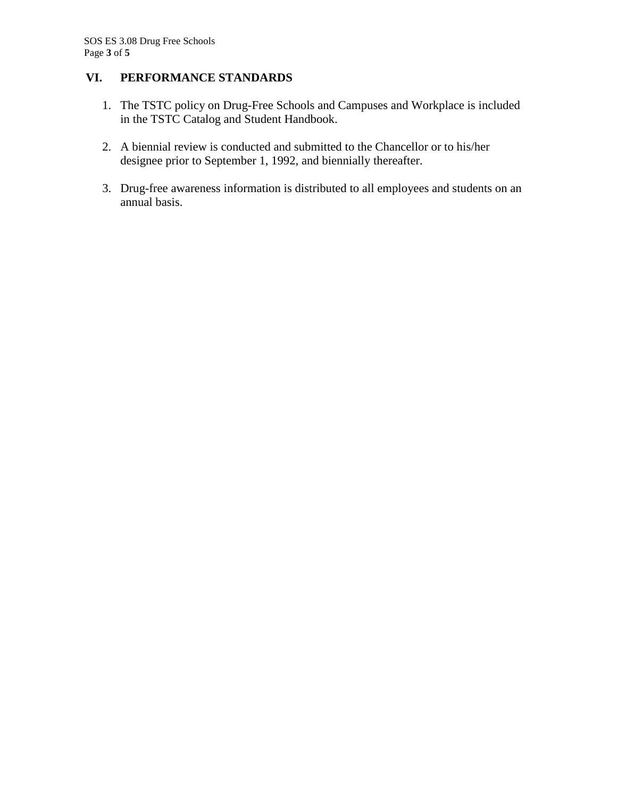# **VI. PERFORMANCE STANDARDS**

- 1. The TSTC policy on Drug-Free Schools and Campuses and Workplace is included in the TSTC Catalog and Student Handbook.
- 2. A biennial review is conducted and submitted to the Chancellor or to his/her designee prior to September 1, 1992, and biennially thereafter.
- 3. Drug-free awareness information is distributed to all employees and students on an annual basis.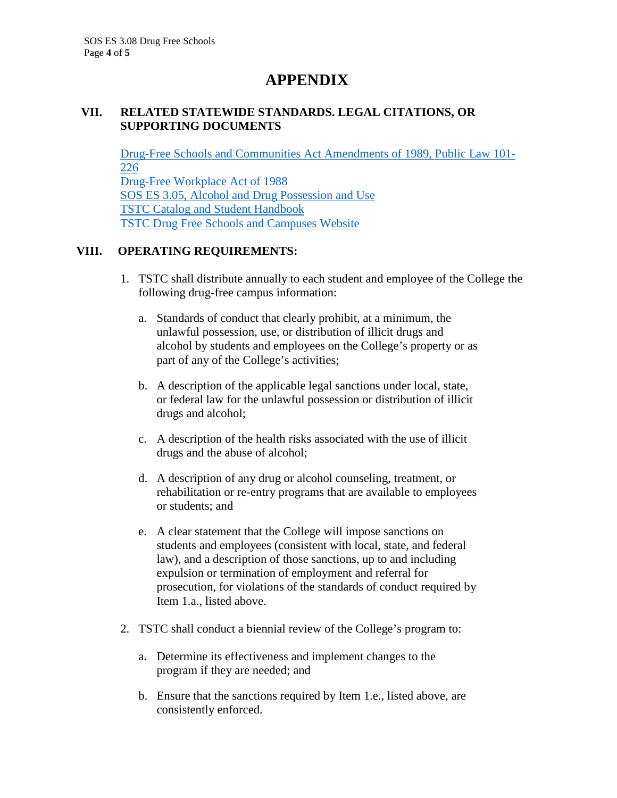# **APPENDIX**

#### **VII. RELATED STATEWIDE STANDARDS. LEGAL CITATIONS, OR SUPPORTING DOCUMENTS**

[Drug-Free Schools and Communities Act Amendments of 1989, Public Law 101-](https://www.congress.gov/bill/101st-congress/house-bill/3614) [226](https://www.congress.gov/bill/101st-congress/house-bill/3614) [Drug-Free Workplace Act of 1988](https://www.congress.gov/bill/100th-congress/house-bill/4719) [SOS ES 3.05, Alcohol and Drug Possession and Use](http://www.tstc.edu/governance/es) [TSTC Catalog and Student Handbook](http://www.tstc.edu/student_life/catalog) [TSTC Drug Free Schools and Campuses Website](http://www.tstc.edu/student_life/awareness)

## **VIII. OPERATING REQUIREMENTS:**

- 1. TSTC shall distribute annually to each student and employee of the College the following drug-free campus information:
	- a. Standards of conduct that clearly prohibit, at a minimum, the unlawful possession, use, or distribution of illicit drugs and alcohol by students and employees on the College's property or as part of any of the College's activities;
	- b. A description of the applicable legal sanctions under local, state, or federal law for the unlawful possession or distribution of illicit drugs and alcohol;
	- c. A description of the health risks associated with the use of illicit drugs and the abuse of alcohol;
	- d. A description of any drug or alcohol counseling, treatment, or rehabilitation or re-entry programs that are available to employees or students; and
	- e. A clear statement that the College will impose sanctions on students and employees (consistent with local, state, and federal law), and a description of those sanctions, up to and including expulsion or termination of employment and referral for prosecution, for violations of the standards of conduct required by Item 1.a., listed above.
- 2. TSTC shall conduct a biennial review of the College's program to:
	- a. Determine its effectiveness and implement changes to the program if they are needed; and
	- b. Ensure that the sanctions required by Item 1.e., listed above, are consistently enforced.